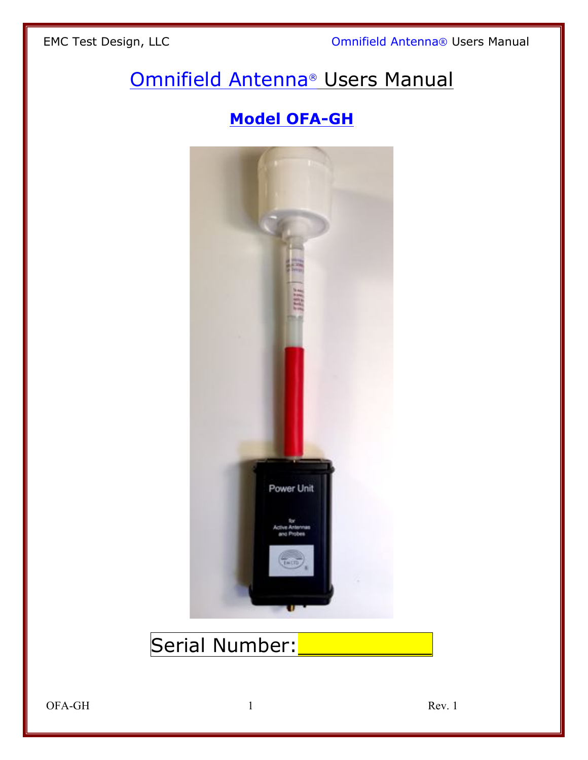EMC Test Design, LLC **Company of Company Company** Omnifield Antenna® Users Manual

# Omnifield Antenna® Users Manual

# **Model OFA-GH**



# Serial Number:

OFA-GH 1 Rev. 1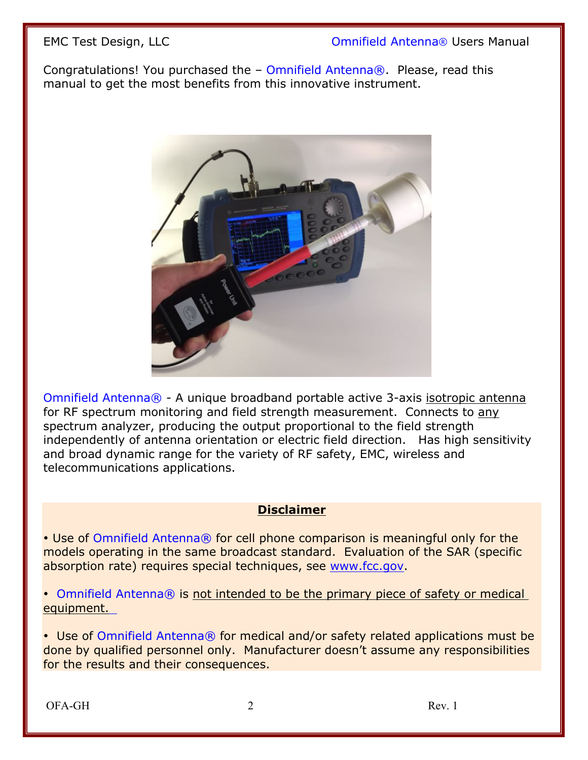Congratulations! You purchased the – Omnifield Antenna®. Please, read this manual to get the most benefits from this innovative instrument.



Omnifield Antenna® - A unique broadband portable active 3-axis isotropic antenna for RF spectrum monitoring and field strength measurement.Connects to any spectrum analyzer, producing the output proportional to the field strength independently of antenna orientation or electric field direction. Has high sensitivity and broad dynamic range for the variety of RF safety, EMC, wireless and telecommunications applications.

#### **Disclaimer**

• Use of Omnifield Antenna® for cell phone comparison is meaningful only for the models operating in the same broadcast standard. Evaluation of the SAR (specific absorption rate) requires special techniques, see www.fcc.gov.

• Omnifield Antenna® is not intended to be the primary piece of safety or medical equipment.

• Use of Omnifield Antenna® for medical and/or safety related applications must be done by qualified personnel only. Manufacturer doesn't assume any responsibilities for the results and their consequences.

OFA-GH 2 Rev. 1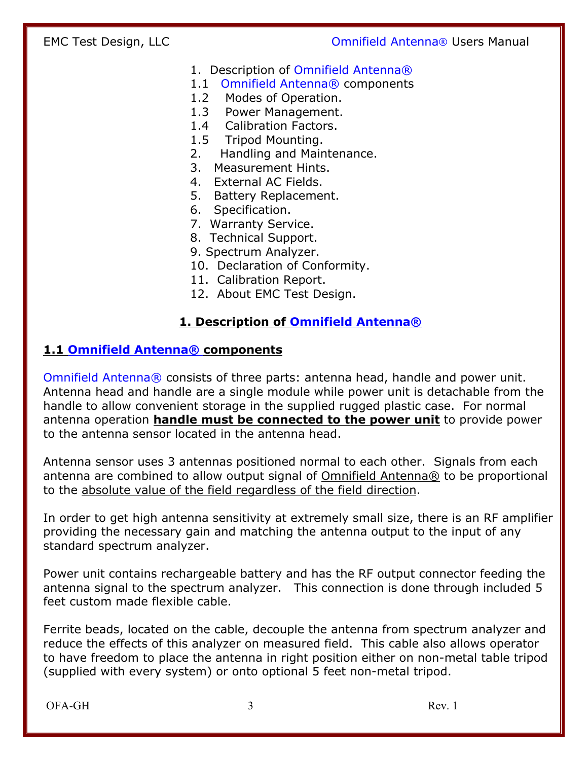- 1. Description of Omnifield Antenna®
- 1.1Omnifield Antenna® components
- 1.2 Modes of Operation.
- 1.3 Power Management.
- 1.4 Calibration Factors.
- 1.5 Tripod Mounting.
- 2. Handling and Maintenance.
- 3. Measurement Hints.
- 4. External AC Fields.
- 5. Battery Replacement.
- 6. Specification.
- 7. Warranty Service.
- 8. Technical Support.
- 9. Spectrum Analyzer.
- 10. Declaration of Conformity.
- 11. Calibration Report.
- 12. About EMC Test Design.

#### **1. Description of Omnifield Antenna®**

#### **1.1 Omnifield Antenna® components**

Omnifield Antenna® consists of three parts: antenna head, handle and power unit. Antenna head and handle are a single module while power unit is detachable from the handle to allow convenient storage in the supplied rugged plastic case. For normal antenna operation **handle must be connected to the power unit** to provide power to the antenna sensor located in the antenna head.

Antenna sensor uses 3 antennas positioned normal to each other. Signals from each antenna are combined to allow output signal of Omnifield Antenna® to be proportional to the absolute value of the field regardless of the field direction.

In order to get high antenna sensitivity at extremely small size, there is an RF amplifier providing the necessary gain and matching the antenna output to the input of any standard spectrum analyzer.

Power unit contains rechargeable battery and has the RF output connector feeding the antenna signal to the spectrum analyzer. This connection is done through included 5 feet custom made flexible cable.

Ferrite beads, located on the cable, decouple the antenna from spectrum analyzer and reduce the effects of this analyzer on measured field. This cable also allows operator to have freedom to place the antenna in right position either on non-metal table tripod (supplied with every system) or onto optional 5 feet non-metal tripod.

OFA-GH 3 Rev. 1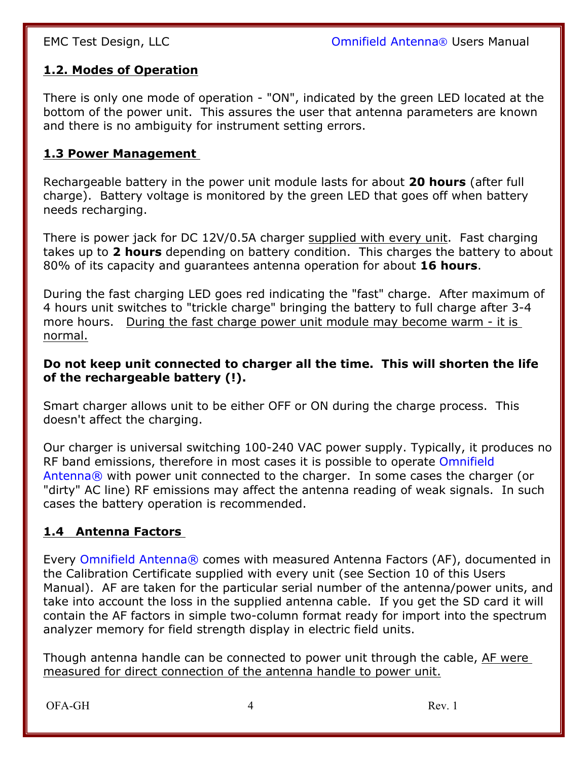#### **1.2. Modes of Operation**

There is only one mode of operation - "ON", indicated by the green LED located at the bottom of the power unit. This assures the user that antenna parameters are known and there is no ambiguity for instrument setting errors.

#### **1.3 Power Management**

Rechargeable battery in the power unit module lasts for about **20 hours** (after full charge). Battery voltage is monitored by the green LED that goes off when battery needs recharging.

There is power jack for DC 12V/0.5A charger supplied with every unit. Fast charging takes up to **2 hours** depending on battery condition. This charges the battery to about 80% of its capacity and guarantees antenna operation for about **16 hours**.

During the fast charging LED goes red indicating the "fast" charge. After maximum of 4 hours unit switches to "trickle charge" bringing the battery to full charge after 3-4 more hours. During the fast charge power unit module may become warm - it is normal.

#### **Do not keep unit connected to charger all the time. This will shorten the life of the rechargeable battery (!).**

Smart charger allows unit to be either OFF or ON during the charge process. This doesn't affect the charging.

Our charger is universal switching 100-240 VAC power supply. Typically, it produces no RF band emissions, therefore in most cases it is possible to operate Omnifield Antenna® with power unit connected to the charger. In some cases the charger (or "dirty" AC line) RF emissions may affect the antenna reading of weak signals. In such cases the battery operation is recommended.

#### **1.4 Antenna Factors**

Every Omnifield Antenna® comes with measured Antenna Factors (AF), documented in the Calibration Certificate supplied with every unit (see Section 10 of this Users Manual). AF are taken for the particular serial number of the antenna/power units, and take into account the loss in the supplied antenna cable. If you get the SD card it will contain the AF factors in simple two-column format ready for import into the spectrum analyzer memory for field strength display in electric field units.

Though antenna handle can be connected to power unit through the cable, AF were measured for direct connection of the antenna handle to power unit.

OFA-GH Rev. 1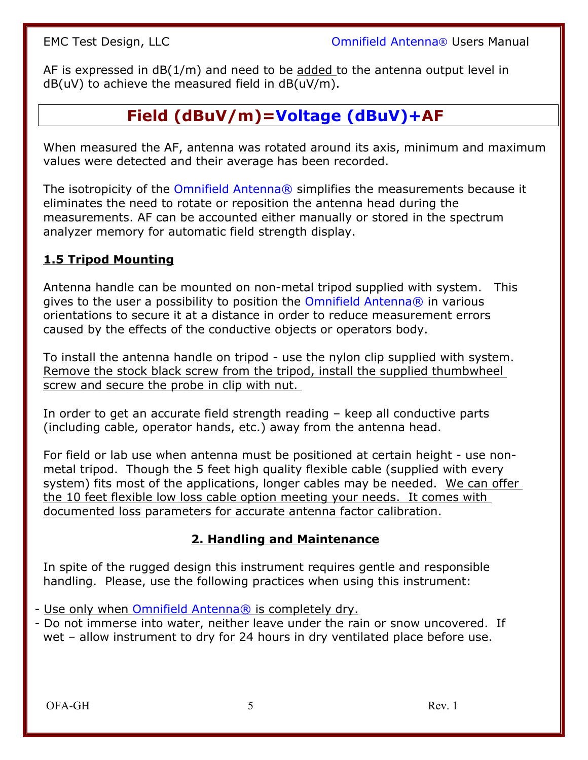AF is expressed in dB(1/m) and need to be added to the antenna output level in  $dB(uV)$  to achieve the measured field in  $dB(uV/m)$ .

# **Field (dBuV/m)=Voltage (dBuV)+AF**

When measured the AF, antenna was rotated around its axis, minimum and maximum values were detected and their average has been recorded.

The isotropicity of the Omnifield Antenna® simplifies the measurements because it eliminates the need to rotate or reposition the antenna head during the measurements. AF can be accounted either manually or stored in the spectrum analyzer memory for automatic field strength display.

#### **1.5 Tripod Mounting**

Antenna handle can be mounted on non-metal tripod supplied with system. This gives to the user a possibility to position the Omnifield Antenna® in various orientations to secure it at a distance in order to reduce measurement errors caused by the effects of the conductive objects or operators body.

To install the antenna handle on tripod - use the nylon clip supplied with system. Remove the stock black screw from the tripod, install the supplied thumbwheel screw and secure the probe in clip with nut.

In order to get an accurate field strength reading – keep all conductive parts (including cable, operator hands, etc.) away from the antenna head.

For field or lab use when antenna must be positioned at certain height - use nonmetal tripod. Though the 5 feet high quality flexible cable (supplied with every system) fits most of the applications, longer cables may be needed. We can offer the 10 feet flexible low loss cable option meeting your needs. It comes with documented loss parameters for accurate antenna factor calibration.

#### **2. Handling and Maintenance**

In spite of the rugged design this instrument requires gentle and responsible handling. Please, use the following practices when using this instrument:

- Use only when Omnifield Antenna® is completely dry.
- Do not immerse into water, neither leave under the rain or snow uncovered. If wet – allow instrument to dry for 24 hours in dry ventilated place before use.

OFA-GH 5 Rev. 1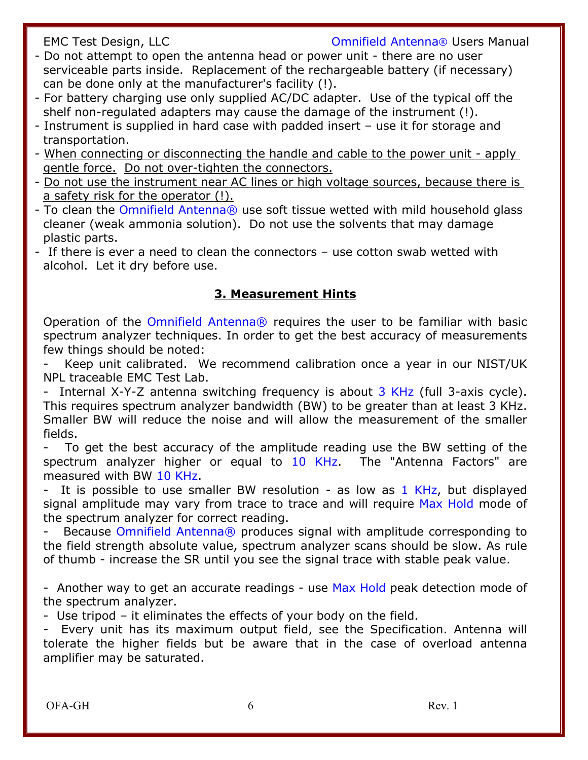- Do not attempt to open the antenna head or power unit there are no user serviceable parts inside. Replacement of the rechargeable battery (if necessary) can be done only at the manufacturer's facility (!).
- For battery charging use only supplied AC/DC adapter. Use of the typical off the shelf non-regulated adapters may cause the damage of the instrument (!).
- Instrument is supplied in hard case with padded insert use it for storage and transportation.
- When connecting or disconnecting the handle and cable to the power unit apply gentle force. Do not over-tighten the connectors.
- Do not use the instrument near AC lines or high voltage sources, because there is a safety risk for the operator (!).
- To clean the Omnifield Antenna® use soft tissue wetted with mild household glass cleaner (weak ammonia solution). Do not use the solvents that may damage plastic parts.
- If there is ever a need to clean the connectors use cotton swab wetted with alcohol. Let it dry before use.

#### **3. Measurement Hints**

Operation of the Omnifield Antenna® requires the user to be familiar with basic spectrum analyzer techniques. In order to get the best accuracy of measurements few things should be noted:

Keep unit calibrated. We recommend calibration once a year in our NIST/UK NPL traceable EMC Test Lab.

- Internal X-Y-Z antenna switching frequency is about 3 KHz (full 3-axis cycle). This requires spectrum analyzer bandwidth (BW) to be greater than at least 3 KHz. Smaller BW will reduce the noise and will allow the measurement of the smaller fields.

To get the best accuracy of the amplitude reading use the BW setting of the spectrum analyzer higher or equal to 10 KHz. The "Antenna Factors" are measured with BW 10 KHz.

- It is possible to use smaller BW resolution - as low as 1 KHz, but displayed signal amplitude may vary from trace to trace and will require Max Hold mode of the spectrum analyzer for correct reading.

Because Omnifield Antenna® produces signal with amplitude corresponding to the field strength absolute value, spectrum analyzer scans should be slow. As rule of thumb - increase the SR until you see the signal trace with stable peak value.

- Another way to get an accurate readings - use Max Hold peak detection mode of the spectrum analyzer.

- Use tripod – it eliminates the effects of your body on the field.

- Every unit has its maximum output field, see the Specification. Antenna will tolerate the higher fields but be aware that in the case of overload antenna amplifier may be saturated.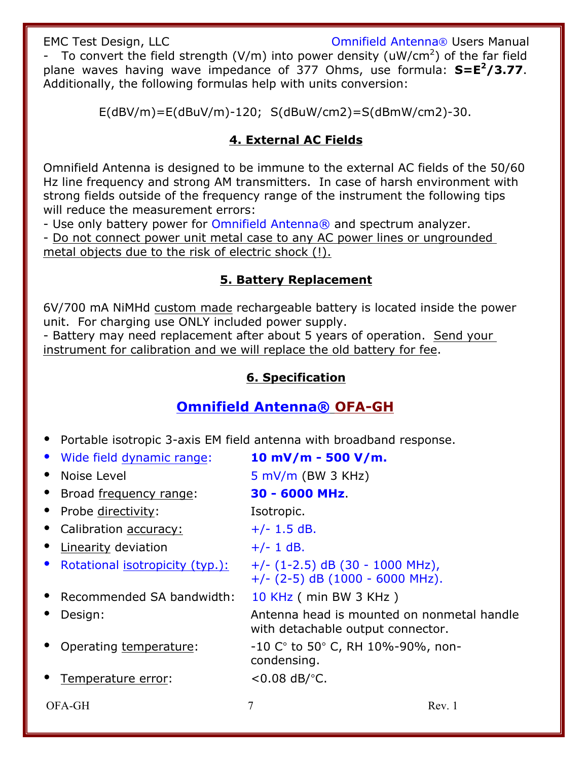EMC Test Design, LLC **Community Company** Companield Antenna® Users Manual - To convert the field strength (V/m) into power density (uW/cm<sup>2</sup>) of the far field plane waves having wave impedance of 377 Ohms, use formula: **S=E2/3.77**. Additionally, the following formulas help with units conversion:

E(dBV/m)=E(dBuV/m)-120; S(dBuW/cm2)=S(dBmW/cm2)-30.

#### **4. External AC Fields**

Omnifield Antenna is designed to be immune to the external AC fields of the 50/60 Hz line frequency and strong AM transmitters. In case of harsh environment with strong fields outside of the frequency range of the instrument the following tips will reduce the measurement errors:

- Use only battery power for Omnifield Antenna® and spectrum analyzer.

- Do not connect power unit metal case to any AC power lines or ungrounded metal objects due to the risk of electric shock (!).

#### **5. Battery Replacement**

6V/700 mA NiMHd custom made rechargeable battery is located inside the power unit. For charging use ONLY included power supply.

- Battery may need replacement after about 5 years of operation. Send your instrument for calibration and we will replace the old battery for fee.

#### **6. Specification**

## **Omnifield Antenna® OFA-GH**

• Portable isotropic 3-axis EM field antenna with broadband response.

| • Wide field dynamic range:                  | 10 mV/m - 500 V/m.                                                              |
|----------------------------------------------|---------------------------------------------------------------------------------|
| Noise Level<br>$\bullet$                     | $5$ mV/m (BW 3 KHz)                                                             |
| • Broad frequency range:                     | 30 - 6000 MHz                                                                   |
| • Probe directivity:                         | Isotropic.                                                                      |
| Calibration accuracy:                        | $+/- 1.5$ dB.                                                                   |
| • Linearity deviation                        | $+/- 1$ dB.                                                                     |
| Rotational isotropicity (typ.):<br>$\bullet$ | $+/-$ (1-2.5) dB (30 - 1000 MHz),<br>$+/-$ (2-5) dB (1000 - 6000 MHz).          |
| Recommended SA bandwidth:                    | 10 KHz ( min BW 3 KHz )                                                         |
| Design:                                      | Antenna head is mounted on nonmetal handle<br>with detachable output connector. |
| Operating temperature:                       | $-10$ C $^{\circ}$ to 50 $^{\circ}$ C, RH 10%-90%, non-<br>condensing.          |
| Temperature error:                           | $< 0.08$ dB/ $o$ C.                                                             |
| OFA-GH                                       | 7<br>Rev. 1                                                                     |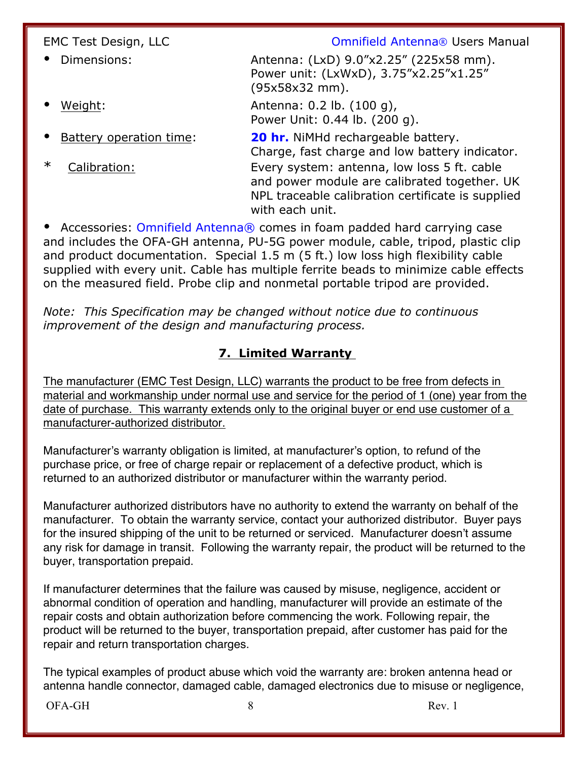| EMC Test Design, LLC    | <b>Omnifield Antenna® Users Manual</b>                                                                                                                              |
|-------------------------|---------------------------------------------------------------------------------------------------------------------------------------------------------------------|
| Dimensions:             | Antenna: (LxD) 9.0"x2.25" (225x58 mm).<br>Power unit: (LxWxD), 3.75"x2.25"x1.25"<br>(95x58x32 mm).                                                                  |
| Weight:                 | Antenna: 0.2 lb. (100 g),<br>Power Unit: 0.44 lb. (200 g).                                                                                                          |
| Battery operation time: | 20 hr. NiMHd rechargeable battery.<br>Charge, fast charge and low battery indicator.                                                                                |
| $\ast$<br>Calibration:  | Every system: antenna, low loss 5 ft. cable<br>and power module are calibrated together. UK<br>NPL traceable calibration certificate is supplied<br>with each unit. |

• Accessories: Omnifield Antenna® comes in foam padded hard carrying case and includes the OFA-GH antenna, PU-5G power module, cable, tripod, plastic clip and product documentation. Special 1.5 m (5 ft.) low loss high flexibility cable supplied with every unit. Cable has multiple ferrite beads to minimize cable effects on the measured field. Probe clip and nonmetal portable tripod are provided.

*Note: This Specification may be changed without notice due to continuous improvement of the design and manufacturing process.*

#### **7. Limited Warranty**

The manufacturer (EMC Test Design, LLC) warrants the product to be free from defects in material and workmanship under normal use and service for the period of 1 (one) year from the date of purchase. This warranty extends only to the original buyer or end use customer of a manufacturer-authorized distributor.

Manufacturer's warranty obligation is limited, at manufacturer's option, to refund of the purchase price, or free of charge repair or replacement of a defective product, which is returned to an authorized distributor or manufacturer within the warranty period.

Manufacturer authorized distributors have no authority to extend the warranty on behalf of the manufacturer. To obtain the warranty service, contact your authorized distributor. Buyer pays for the insured shipping of the unit to be returned or serviced. Manufacturer doesn't assume any risk for damage in transit. Following the warranty repair, the product will be returned to the buyer, transportation prepaid.

If manufacturer determines that the failure was caused by misuse, negligence, accident or abnormal condition of operation and handling, manufacturer will provide an estimate of the repair costs and obtain authorization before commencing the work. Following repair, the product will be returned to the buyer, transportation prepaid, after customer has paid for the repair and return transportation charges.

The typical examples of product abuse which void the warranty are: broken antenna head or antenna handle connector, damaged cable, damaged electronics due to misuse or negligence,

OFA-GH Rev. 1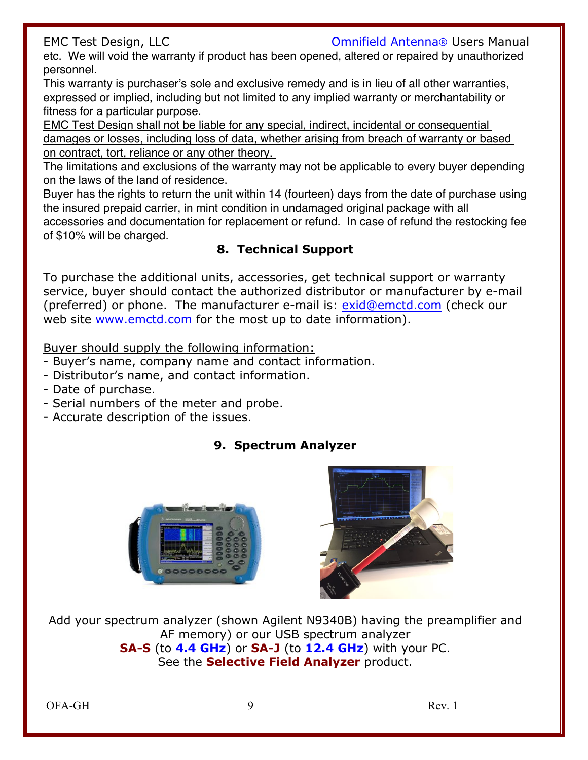EMC Test Design, LLC **Company Company** Companield Antenna<sup>®</sup> Users Manual

etc. We will void the warranty if product has been opened, altered or repaired by unauthorized personnel.

This warranty is purchaser's sole and exclusive remedy and is in lieu of all other warranties, expressed or implied, including but not limited to any implied warranty or merchantability or fitness for a particular purpose.

EMC Test Design shall not be liable for any special, indirect, incidental or consequential damages or losses, including loss of data, whether arising from breach of warranty or based on contract, tort, reliance or any other theory.

The limitations and exclusions of the warranty may not be applicable to every buyer depending on the laws of the land of residence.

Buyer has the rights to return the unit within 14 (fourteen) days from the date of purchase using the insured prepaid carrier, in mint condition in undamaged original package with all accessories and documentation for replacement or refund. In case of refund the restocking fee of \$10% will be charged.

### **8. Technical Support**

To purchase the additional units, accessories, get technical support or warranty service, buyer should contact the authorized distributor or manufacturer by e-mail (preferred) or phone. The manufacturer e-mail is: exid@emctd.com (check our web site www.emctd.com for the most up to date information).

Buyer should supply the following information:

- Buyer's name, company name and contact information.
- Distributor's name, and contact information.
- Date of purchase.
- Serial numbers of the meter and probe.
- Accurate description of the issues.

## **9. Spectrum Analyzer**





Add your spectrum analyzer (shown Agilent N9340B) having the preamplifier and AF memory) or our USB spectrum analyzer **SA-S** (to **4.4 GHz**) or **SA-J** (to **12.4 GHz**) with your PC. See the **Selective Field Analyzer** product.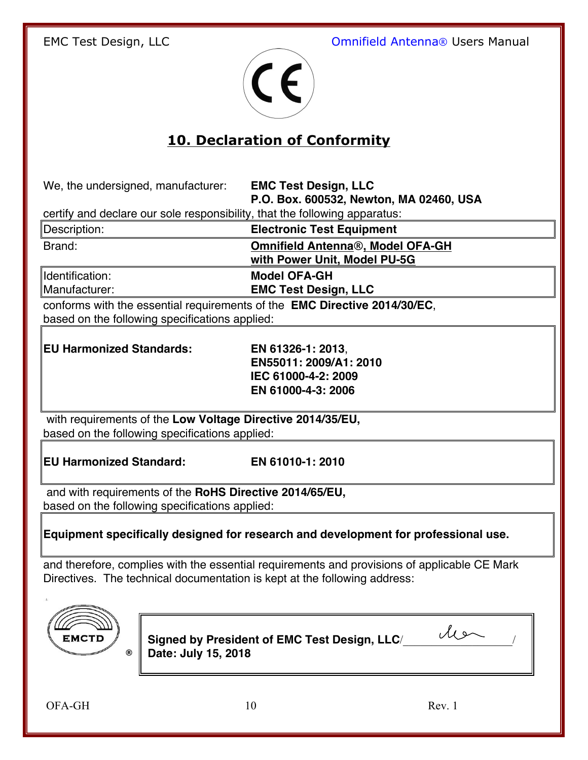

# **10. Declaration of Conformity**

We, the undersigned, manufacturer: **EMC Test Design, LLC** 

**P.O. Box. 600532, Newton, MA 02460, USA**

certify and declare our sole responsibility, that the following apparatus:

| Description:                     | <b>Electronic Test Equipment</b>                                        |  |
|----------------------------------|-------------------------------------------------------------------------|--|
| Brand:                           | <b>Omnifield Antenna®, Model OFA-GH</b><br>with Power Unit, Model PU-5G |  |
| Identification:<br>Manufacturer: | <b>Model OFA-GH</b><br><b>EMC Test Design, LLC</b>                      |  |

conforms with the essential requirements of the **EMC Directive 2014/30/EC**, based on the following specifications applied:

**EU Harmonized Standards: EN 61326-1: 2013**,

**EN55011: 2009/A1: 2010 IEC 61000-4-2: 2009 EN 61000-4-3: 2006**

with requirements of the **Low Voltage Directive 2014/35/EU,** based on the following specifications applied:

**EU Harmonized Standard: EN 61010-1: 2010**

and with requirements of the **RoHS Directive 2014/65/EU,** based on the following specifications applied:

**Equipment specifically designed for research and development for professional use.**

and therefore, complies with the essential requirements and provisions of applicable CE Mark Directives.The technical documentation is kept at the following address:



**Signed by President of EMC Test Design, LLC**/\_\_\_\_\_\_\_\_\_\_\_\_\_\_\_\_\_\_\_/ **Date: July 15, 2018**

OFA-GH 10 Rev. 1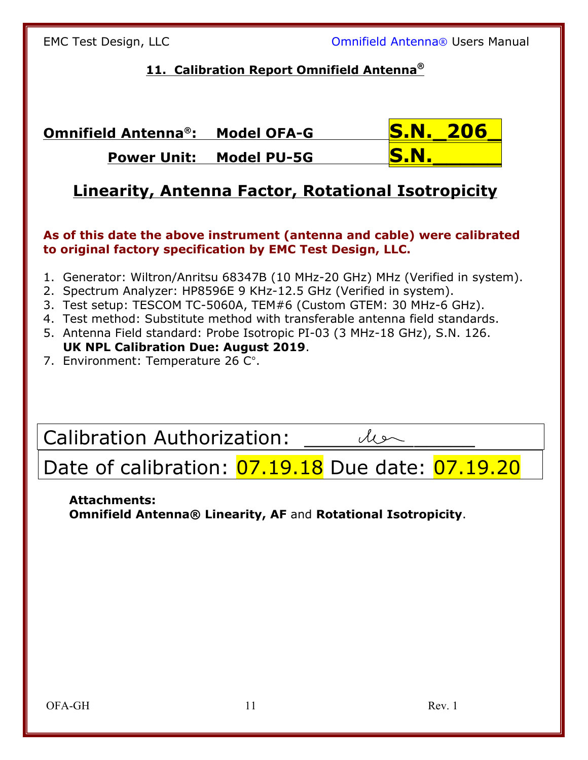### **11. Calibration Report Omnifield Antenna®**

**Omnifield Antenna®: Model OFA-G S.N.\_206\_ Power Unit: Model PU-5G S.N.** 

# **Linearity, Antenna Factor, Rotational Isotropicity**

#### **As of this date the above instrument (antenna and cable) were calibrated to original factory specification by EMC Test Design, LLC.**

- 1. Generator: Wiltron/Anritsu 68347B (10 MHz-20 GHz) MHz (Verified in system).
- 2. Spectrum Analyzer: HP8596E 9 KHz-12.5 GHz (Verified in system).
- 3. Test setup: TESCOM TC-5060A, TEM#6 (Custom GTEM: 30 MHz-6 GHz).
- 4. Test method: Substitute method with transferable antenna field standards.
- 5. Antenna Field standard: Probe Isotropic PI-03 (3 MHz-18 GHz), S.N. 126.  **UK NPL Calibration Due: August 2019**.
- 7. Environment: Temperature 26 C°.

Calibration Authorization: \_\_\_\_\_\_\_\_\_\_\_\_\_\_

# Date of calibration: 07.19.18 Due date: 07.19.20

#### **Attachments: Omnifield Antenna® Linearity, AF** and **Rotational Isotropicity**.